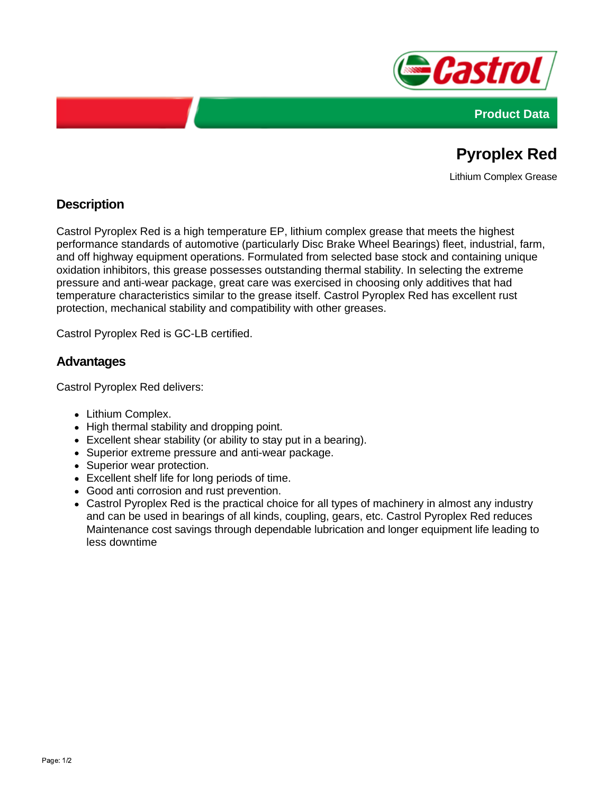



# **Pyroplex Red**

Lithium Complex Grease

### **Description**

Castrol Pyroplex Red is a high temperature EP, lithium complex grease that meets the highest performance standards of automotive (particularly Disc Brake Wheel Bearings) fleet, industrial, farm, and off highway equipment operations. Formulated from selected base stock and containing unique oxidation inhibitors, this grease possesses outstanding thermal stability. In selecting the extreme pressure and anti-wear package, great care was exercised in choosing only additives that had temperature characteristics similar to the grease itself. Castrol Pyroplex Red has excellent rust protection, mechanical stability and compatibility with other greases.

Castrol Pyroplex Red is GC-LB certified.

#### **Advantages**

Castrol Pyroplex Red delivers:

- Lithium Complex.
- High thermal stability and dropping point.
- Excellent shear stability (or ability to stay put in a bearing).
- Superior extreme pressure and anti-wear package.
- Superior wear protection.
- Excellent shelf life for long periods of time.
- Good anti corrosion and rust prevention.
- Castrol Pyroplex Red is the practical choice for all types of machinery in almost any industry and can be used in bearings of all kinds, coupling, gears, etc. Castrol Pyroplex Red reduces Maintenance cost savings through dependable lubrication and longer equipment life leading to less downtime